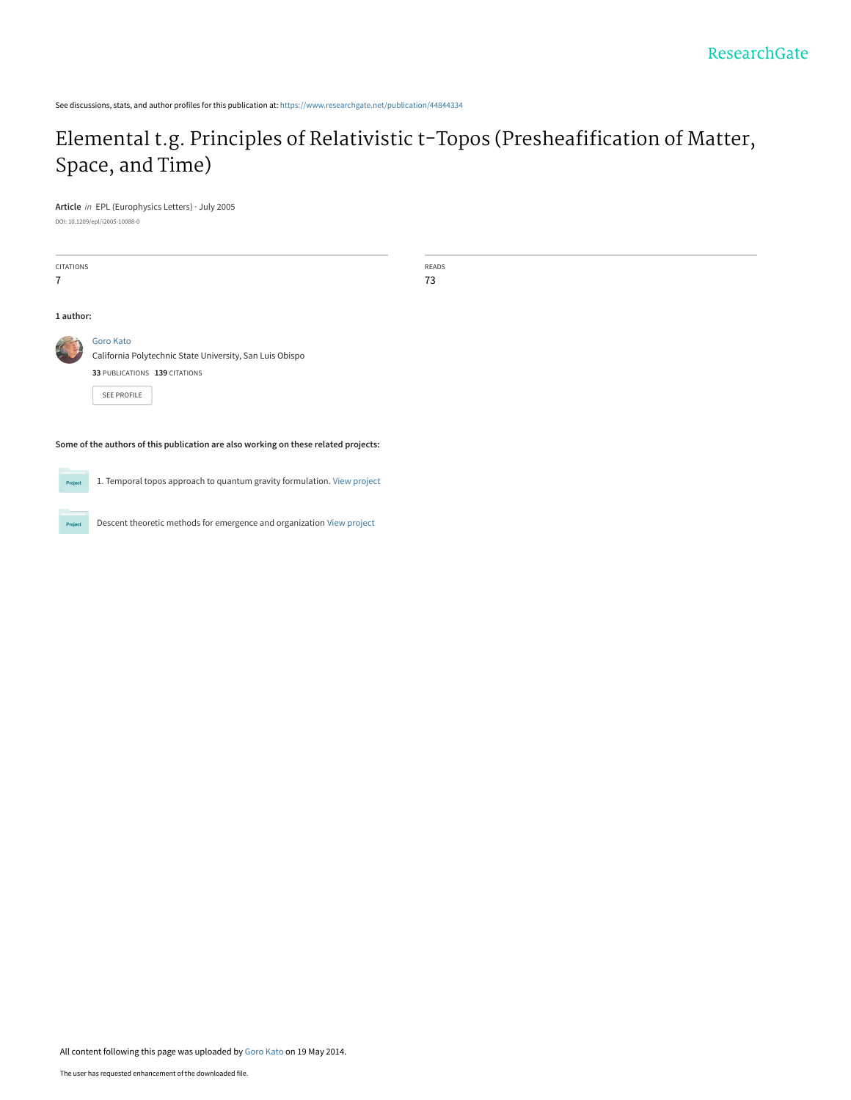See discussions, stats, and author profiles for this publication at: [https://www.researchgate.net/publication/44844334](https://www.researchgate.net/publication/44844334_Elemental_tg_Principles_of_Relativistic_t-Topos_Presheafification_of_Matter_Space_and_Time?enrichId=rgreq-3f6332856030ffda6bf8dd9d45a65151-XXX&enrichSource=Y292ZXJQYWdlOzQ0ODQ0MzM0O0FTOjk4NjE2NDE2OTMxODQyQDE0MDA1MjMzOTQzMjk%3D&el=1_x_2&_esc=publicationCoverPdf)

## [Elemental t.g. Principles of Relativistic t-Topos \(Presheafification of Matter,](https://www.researchgate.net/publication/44844334_Elemental_tg_Principles_of_Relativistic_t-Topos_Presheafification_of_Matter_Space_and_Time?enrichId=rgreq-3f6332856030ffda6bf8dd9d45a65151-XXX&enrichSource=Y292ZXJQYWdlOzQ0ODQ0MzM0O0FTOjk4NjE2NDE2OTMxODQyQDE0MDA1MjMzOTQzMjk%3D&el=1_x_3&_esc=publicationCoverPdf) Space, and Time)

**Article** in EPL (Europhysics Letters) · July 2005

DOI: 10.1209/epl/i2005-10088-0

| <b>CITATIONS</b>                                                                    |                                                                       | <b>READS</b><br>73 |
|-------------------------------------------------------------------------------------|-----------------------------------------------------------------------|--------------------|
| 1 author:                                                                           |                                                                       |                    |
|                                                                                     | Goro Kato<br>California Polytechnic State University, San Luis Obispo |                    |
|                                                                                     | 33 PUBLICATIONS 139 CITATIONS                                         |                    |
|                                                                                     | <b>SEE PROFILE</b>                                                    |                    |
| Some of the authors of this publication are also working on these related projects: |                                                                       |                    |

1. Temporal topos approach to quantum gravity formulation. [View project](https://www.researchgate.net/project/1-Temporal-topos-approach-to-quantum-gravity-formulation?enrichId=rgreq-3f6332856030ffda6bf8dd9d45a65151-XXX&enrichSource=Y292ZXJQYWdlOzQ0ODQ0MzM0O0FTOjk4NjE2NDE2OTMxODQyQDE0MDA1MjMzOTQzMjk%3D&el=1_x_9&_esc=publicationCoverPdf) **Project** 

Descent theoretic methods for emergence and organization [View project](https://www.researchgate.net/project/Descent-theoretic-methods-for-emergence-and-organization?enrichId=rgreq-3f6332856030ffda6bf8dd9d45a65151-XXX&enrichSource=Y292ZXJQYWdlOzQ0ODQ0MzM0O0FTOjk4NjE2NDE2OTMxODQyQDE0MDA1MjMzOTQzMjk%3D&el=1_x_9&_esc=publicationCoverPdf) Project

All content following this page was uploaded by [Goro Kato](https://www.researchgate.net/profile/Goro-Kato-2?enrichId=rgreq-3f6332856030ffda6bf8dd9d45a65151-XXX&enrichSource=Y292ZXJQYWdlOzQ0ODQ0MzM0O0FTOjk4NjE2NDE2OTMxODQyQDE0MDA1MjMzOTQzMjk%3D&el=1_x_10&_esc=publicationCoverPdf) on 19 May 2014.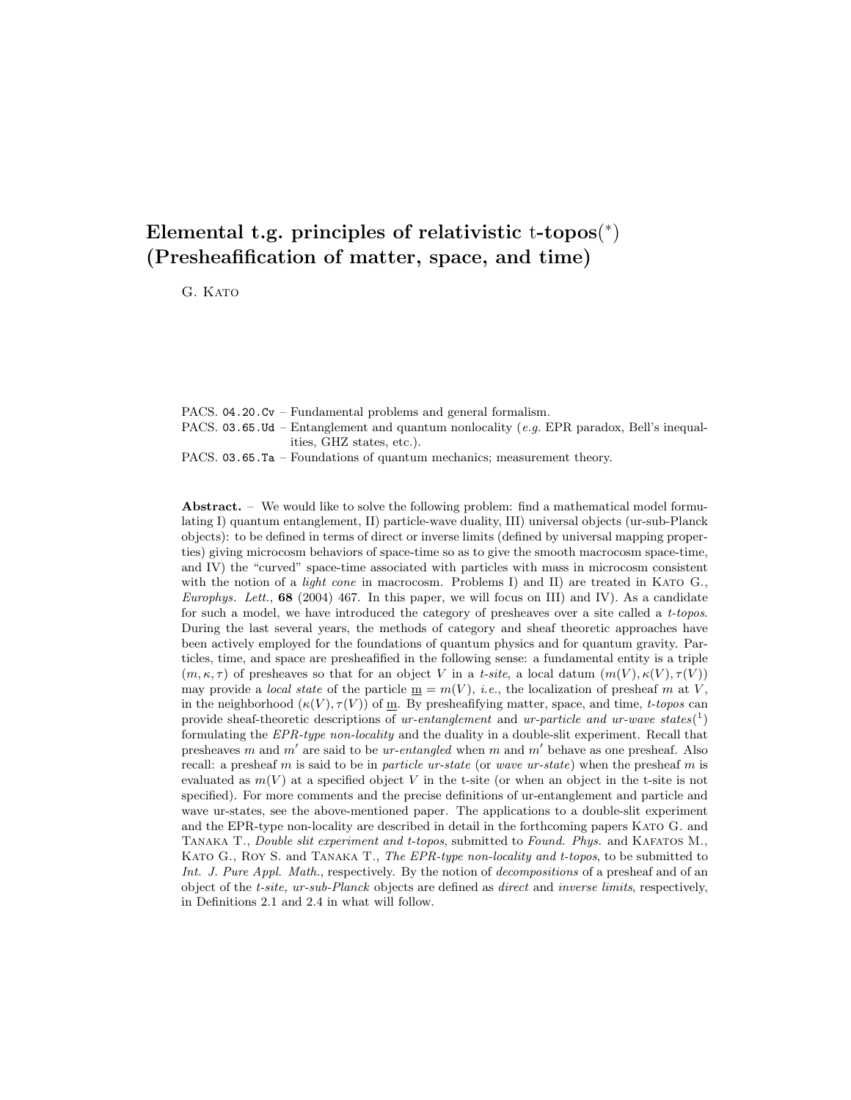## **Elemental t.g. principles of relativistic** t**-topos**(<sup>∗</sup>) **(Presheafification of matter, space, and time)**

G. KATO

PACS. 04.20.Cv – Fundamental problems and general formalism. PACS. 03.65.Ud – Entanglement and quantum nonlocality (e.g. EPR paradox, Bell's inequalities, GHZ states, etc.). PACS. 03.65.Ta – Foundations of quantum mechanics; measurement theory.

**Abstract.** – We would like to solve the following problem: find a mathematical model formulating I) quantum entanglement, II) particle-wave duality, III) universal objects (ur-sub-Planck objects): to be defined in terms of direct or inverse limits (defined by universal mapping properties) giving microcosm behaviors of space-time so as to give the smooth macrocosm space-time, and IV) the "curved" space-time associated with particles with mass in microcosm consistent with the notion of a *light cone* in macrocosm. Problems I) and II) are treated in KATO G., Europhys. Lett.,  $68$  (2004) 467. In this paper, we will focus on III) and IV). As a candidate for such a model, we have introduced the category of presheaves over a site called a t-topos. During the last several years, the methods of category and sheaf theoretic approaches have been actively employed for the foundations of quantum physics and for quantum gravity. Particles, time, and space are presheafified in the following sense: a fundamental entity is a triple  $(m, \kappa, \tau)$  of presheaves so that for an object V in a t-site, a local datum  $(m(V), \kappa(V), \tau(V))$ may provide a *local state* of the particle  $\underline{m} = m(V)$ , *i.e.*, the localization of presheaf m at V, in the neighborhood  $(\kappa(V), \tau(V))$  of m. By presheafifying matter, space, and time, t-topos can provide sheaf-theoretic descriptions of ur-entanglement and ur-particle and ur-wave states( $\binom{1}{1}$ ) formulating the EPR-type non-locality and the duality in a double-slit experiment. Recall that specified). For more comments and the precise definitions of ur-entanglement and particle and wave ur-states, see the above-mentioned paper. The applications to a double-slit experiment and the EPR-type non-locality are described in detail in the forthcoming papers Kato G. and TANAKA T., Double slit experiment and t-topos, submitted to Found. Phys. and KAFATOS M., presheaves m and m' are said to be ur-entangled when m and m' behave as one presheaf. Also recall: a presheaf m is said to be in particle ur-state (or wave ur-state) when the presheaf m is evaluated as  $m(V)$  at a specified object V in the t-site (or when an object in the t-site is not KATO G., ROY S. and TANAKA T., The EPR-type non-locality and t-topos, to be submitted to Int. J. Pure Appl. Math., respectively. By the notion of decompositions of a presheaf and of an object of the t-site, ur-sub-Planck objects are defined as direct and inverse limits, respectively, in Definitions 2.1 and 2.4 in what will follow.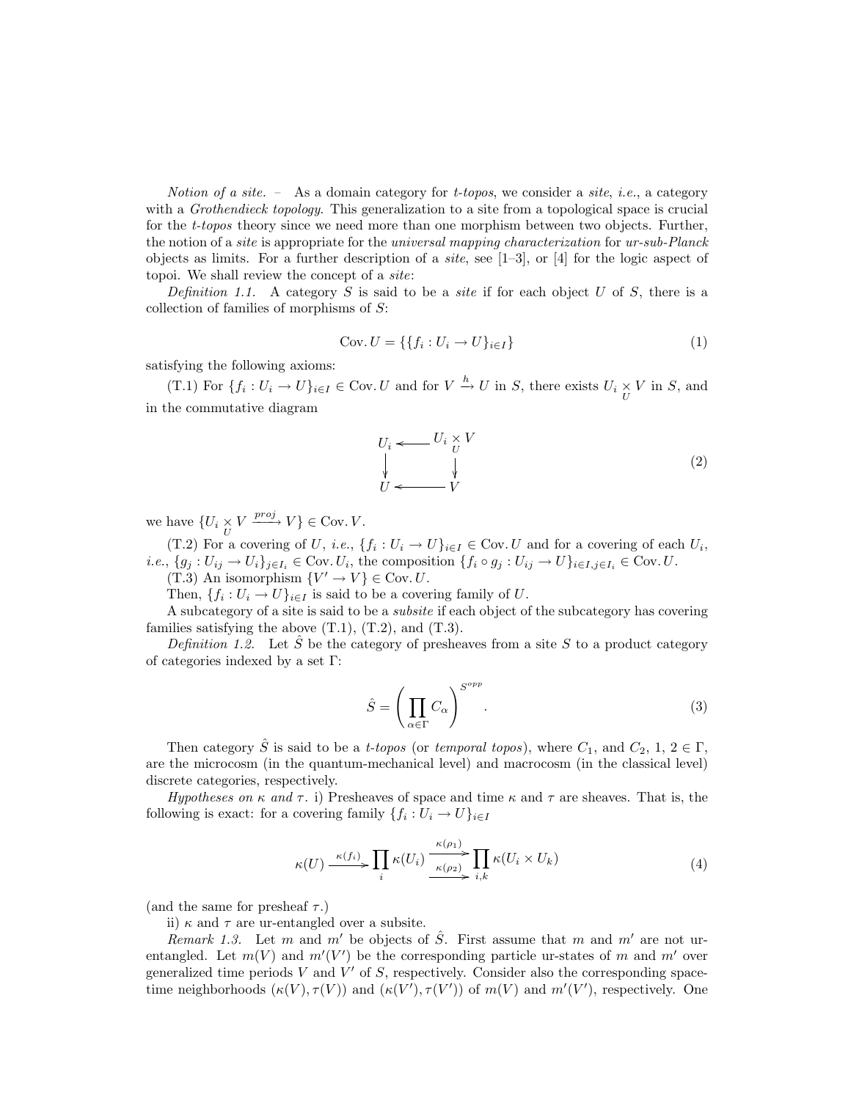Notion of a site. – As a domain category for *t*-topos, we consider a site, *i.e.*, a category with a *Grothendieck topology*. This generalization to a site from a topological space is crucial for the *t-topos* theory since we need more than one morphism between two objects. Further, the notion of a site is appropriate for the universal mapping characterization for ur-sub-Planck objects as limits. For a further description of a *site*, see  $[1-3]$ , or  $[4]$  for the logic aspect of topoi. We shall review the concept of a site:

Definition 1.1. A category S is said to be a *site* if for each object U of S, there is a collection of families of morphisms of  $S$ :

$$
\text{Cov.}\ U = \{\{f_i: U_i \to U\}_{i \in I}\}\
$$
 (1)

satisfying the following axioms:

(T.1) For  ${f_i : U_i \to U}_{i \in I} \in \text{Cov}\_U$  and for  $V \xrightarrow{h} U$  in S, there exists  $U_i \times V$  in S, and in the commutative diagram

$$
U_i \leftarrow U_i \times V
$$
  
\n
$$
\downarrow \qquad \qquad \downarrow
$$
  
\n
$$
U \leftarrow V
$$
  
\n
$$
(2)
$$

we have  $\{U_i \times V \xrightarrow{proj} V\} \in \text{Cov. } V.$ <br>
(T 2) For a covering of  $U$  i.e.

(T.2) For a covering of U, i.e.,  $\{f_i: U_i \to U\}_{i \in I} \in \text{Cov}\text{. } U$  and for a covering of each  $U_i$ , *i.e.*,  $\{g_j: U_{ij} \to U_i\}_{j \in I_i} \in \text{Cov. } U_i$ , the composition  $\{f_i \circ g_j: U_{ij} \to U\}_{i \in I, j \in I_i} \in \text{Cov. } U$ . (T.3) An isomorphism  $\{V' \to V\} \in \text{Cov}$ . U.

Then,  $\{f_i: U_i \to U\}_{i \in I}$  is said to be a covering family of U.

A subcategory of a site is said to be a subsite if each object of the subcategory has covering families satisfying the above  $(T.1)$ ,  $(T.2)$ , and  $(T.3)$ .

Definition 1.2. Let S be the category of presheaves from a site S to a product category of categories indexed by a set Γ:

$$
\hat{S} = \left(\prod_{\alpha \in \Gamma} C_{\alpha}\right)^{S^{opp}}.\tag{3}
$$

Then category  $\hat{S}$  is said to be a *t-topos* (or *temporal topos*), where  $C_1$ , and  $C_2$ , 1, 2  $\in \Gamma$ , are the microcosm (in the quantum-mechanical level) and macrocosm (in the classical level) discrete categories, respectively.

Hypotheses on  $\kappa$  and  $\tau$ . i) Presheaves of space and time  $\kappa$  and  $\tau$  are sheaves. That is, the following is exact: for a covering family  $\{f_i : U_i \to U\}_{i \in I}$ 

$$
\kappa(U) \xrightarrow{\kappa(f_i)} \prod_i \kappa(U_i) \xrightarrow{\kappa(\rho_1)} \prod_{i,k} \kappa(U_i \times U_k)
$$
\n
$$
(4)
$$

(and the same for presheaf  $\tau$ .)

ii)  $\kappa$  and  $\tau$  are ur-entangled over a subsite.

Remark 1.3. Let m and m' be objects of  $\hat{S}$ . First assume that m and m' are not ur-<br>angled Let  $m(V)$  and  $m'(V')$  be the corresponding particle ur-states of m and m' over entangled. Let  $m(V)$  and  $m'(V')$  be the corresponding particle ur-states of m and m' over<br>generalized time periods V and V' of S, respectively. Consider also the corresponding spacegeneralized time periods  $V$  and  $V'$  of  $S$ , respectively. Consider also the corresponding spacetime neighborhoods  $(\kappa(V), \tau(V))$  and  $(\kappa(V'), \tau(V'))$  of  $m(V)$  and  $m'(V')$ , respectively. One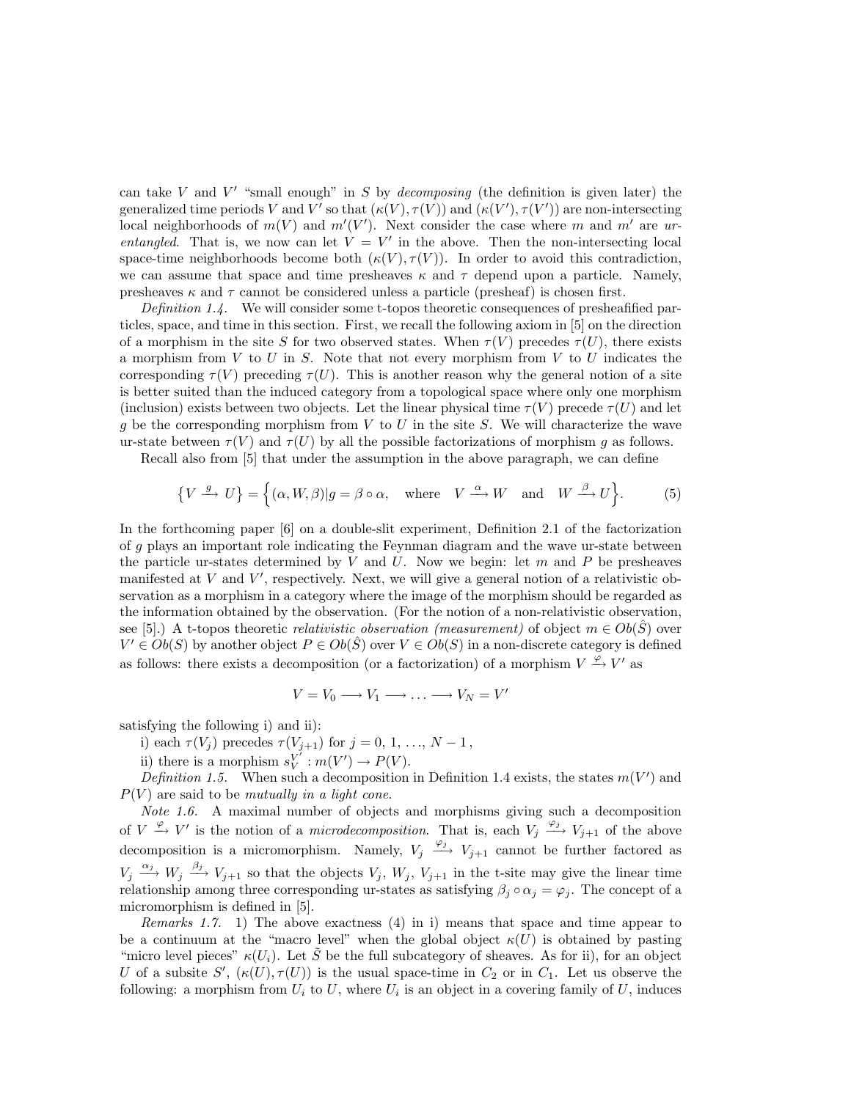local neighborhoods of  $m(V)$  and  $m'(V')$ . Next consider the case where m and m' are ur-<br>entangled. That is we now can let  $V = V'$  in the above. Then the non-intersecting local can take V and V' "small enough" in S by *decomposing* (the definition is given later) the generalized time periods V and V' so that  $(\kappa(V), \tau(V))$  and  $(\kappa(V'), \tau(V'))$  are non-intersecting<br>local neighborhoods of  $m(V)$  and  $m'(V')$ . Next consider the case where m and  $m'$  are unentangled. That is, we now can let  $V = V'$  in the above. Then the non-intersecting local space-time neighborhoods become both  $(\kappa(V), \tau(V))$ . In order to avoid this contradiction, we can assume that space and time presheaves  $\kappa$  and  $\tau$  depend upon a particle. Namely, presheaves  $\kappa$  and  $\tau$  cannot be considered unless a particle (presheaf) is chosen first.

Definition 1.4. We will consider some t-topos theoretic consequences of presheafified particles, space, and time in this section. First, we recall the following axiom in [5] on the direction of a morphism in the site S for two observed states. When  $\tau(V)$  precedes  $\tau(U)$ , there exists a morphism from  $V$  to  $U$  in  $S$ . Note that not every morphism from  $V$  to  $U$  indicates the corresponding  $\tau(V)$  preceding  $\tau(U)$ . This is another reason why the general notion of a site is better suited than the induced category from a topological space where only one morphism (inclusion) exists between two objects. Let the linear physical time  $\tau(V)$  precede  $\tau(U)$  and let q be the corresponding morphism from  $V$  to  $U$  in the site  $S$ . We will characterize the wave ur-state between  $\tau(V)$  and  $\tau(U)$  by all the possible factorizations of morphism g as follows.

Recall also from [5] that under the assumption in the above paragraph, we can define

$$
\{V \xrightarrow{g} U\} = \{(\alpha, W, \beta)|g = \beta \circ \alpha, \text{ where } V \xrightarrow{\alpha} W \text{ and } W \xrightarrow{\beta} U\}.
$$
 (5)

In the forthcoming paper [6] on a double-slit experiment, Definition 2.1 of the factorization of g plays an important role indicating the Feynman diagram and the wave ur-state between the particle ur-states determined by  $V$  and  $U$ . Now we begin: let  $m$  and  $P$  be presheaves manifested at  $V$  and  $V'$ , respectively. Next, we will give a general notion of a relativistic ob-<br>servation as a morphism in a category where the image of the morphism should be regarded as servation as a morphism in a category where the image of the morphism should be regarded as the information obtained by the observation. (For the notion of a non-relativistic observation, see [5].) A t-topos theoretic *relativistic observation (measurement)* of object  $m \in Ob(\hat{S})$  over  $V' \in Ob(S)$  by another object  $P \in Ob(\hat{S})$  over  $V \in Ob(S)$  in a non-discrete category is defined as follows: there exists a decomposition (or a factorization) of a morphism  $V \xrightarrow{\varphi} V'$  as

$$
V = V_0 \longrightarrow V_1 \longrightarrow \dots \longrightarrow V_N = V'
$$

satisfying the following i) and ii):

i) each  $\tau(V_j)$  precedes  $\tau(V_{j+1})$  for  $j = 0, 1, ..., N-1$ ,<br>ii) there is a mapphism  $s^{V'}$ ,  $m(V')$ ,  $p(V)$ 

ii) there is a morphism  $s_V^V : m(V') \to P(V)$ .<br>Definition 1.5 When such a deconnosition

*Definition 1.5.* When such a decomposition in Definition 1.4 exists, the states  $m(V')$  and  $\triangle$  $P(V)$  are said to be mutually in a light cone.

Note 1.6. A maximal number of objects and morphisms giving such a decomposition of  $V \xrightarrow{\varphi} V'$  is the notion of a *microdecomposition*. That is, each  $V_j \xrightarrow{\varphi_j} V_{j+1}$  of the above decomposition is a micromorphism. Namely,  $V_j \xrightarrow{\varphi_j} V_{j+1}$  cannot be further factored as decomposition is a micromorphism. Namely,  $V_j \xrightarrow{\varphi_j} V_{j+1}$  cannot be further factored as  $V_i \xrightarrow{\alpha_j} W_i \xrightarrow{\beta_j} V_{i+1}$  so that the objects  $V_i$ ,  $W_i$ ,  $V_{i+1}$  in the t-site may give the linear time  $V_j \xrightarrow{\alpha_j} W_j \xrightarrow{\beta_j} V_{j+1}$  so that the objects  $V_j$ ,  $W_j$ ,  $V_{j+1}$  in the t-site may give the linear time<br>relationship among three corresponding unstates as satisfying  $\beta_i \circ \alpha_i = \alpha_i$ . The concept of a relationship among three corresponding ur-states as satisfying  $\beta_j \circ \alpha_j = \varphi_j$ . The concept of a micromorphism is defined in [5] micromorphism is defined in [5].

*Remarks 1.7.* 1) The above exactness  $(4)$  in i) means that space and time appear to be a continuum at the "macro level" when the global object  $\kappa(U)$  is obtained by pasting "micro level pieces"  $\kappa(U_i)$ . Let  $\tilde{S}$  be the full subcategory of sheaves. As for ii), for an object U of a subsite  $S'$ ,  $(\kappa(U), \tau(U))$  is the usual space-time in  $C_2$  or in  $C_1$ . Let us observe the following: a morphism from U, to U, where U, is an object in a covering family of U, induces following: a morphism from  $U_i$  to  $U_j$ , where  $U_i$  is an object in a covering family of  $U_j$ , induces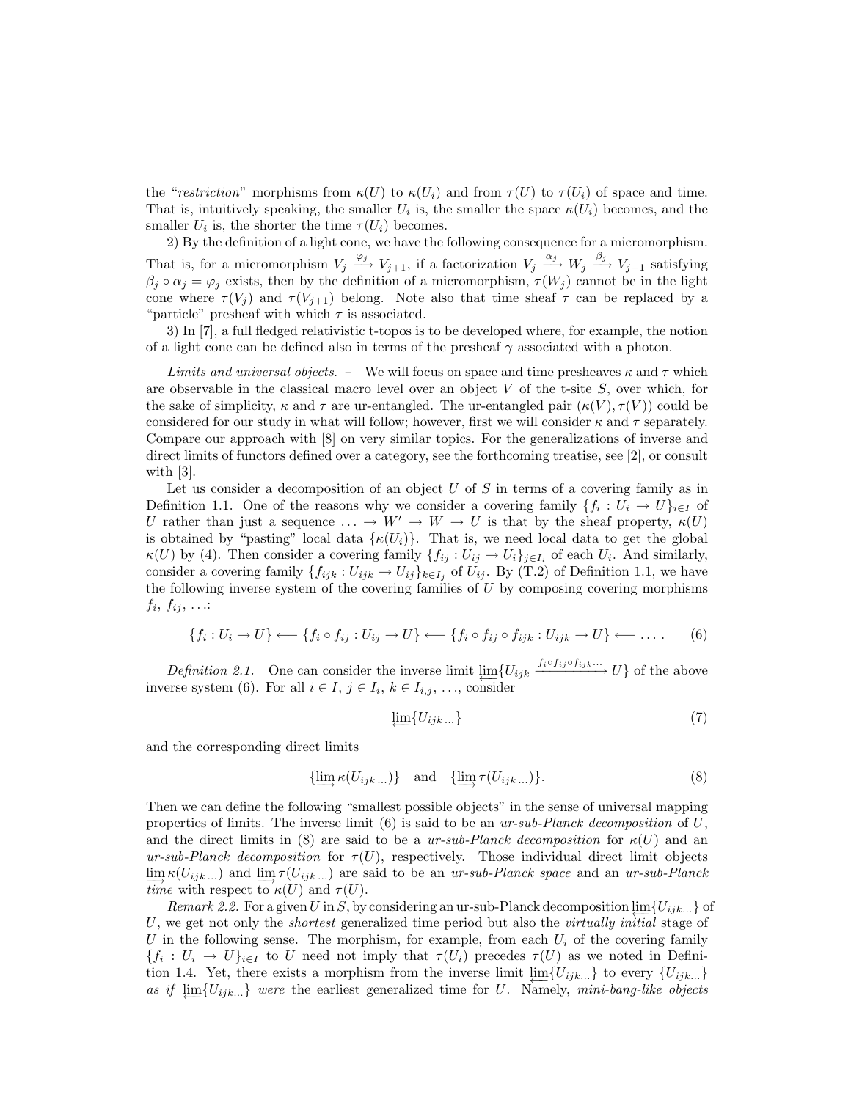the "restriction" morphisms from  $\kappa(U)$  to  $\kappa(U_i)$  and from  $\tau(U)$  to  $\tau(U_i)$  of space and time. That is, intuitively speaking, the smaller  $U_i$  is, the smaller the space  $\kappa(U_i)$  becomes, and the smaller  $U_i$  is, the shorter the time  $\tau(U_i)$  becomes.

2) By the definition of a light cone, we have the following consequence for a micromorphism. That is, for a micromorphism  $V_j \xrightarrow{\varphi_j} V_{j+1}$ , if a factorization  $V_j \xrightarrow{\alpha_j} W_j \xrightarrow{\beta_j} V_{j+1}$  satisfying  $\beta_{j+1} \circ \alpha_j = \varnothing_j$  exists then by the definition of a micromorphism  $\tau(W_j)$  cannot be in the light  $\beta_j \circ \alpha_j = \varphi_j$  exists, then by the definition of a micromorphism,  $\tau(W_j)$  cannot be in the light<br>cone where  $\tau(V_i)$  and  $\tau(V_{i+1})$  belong. Note also that time sheaf  $\tau$  can be replaced by a cone where  $\tau(V_i)$  and  $\tau(V_{i+1})$  belong. Note also that time sheaf  $\tau$  can be replaced by a "particle" presheaf with which  $\tau$  is associated.

3) In [7], a full fledged relativistic t-topos is to be developed where, for example, the notion of a light cone can be defined also in terms of the presheaf  $\gamma$  associated with a photon.

Limits and universal objects. – We will focus on space and time presheaves  $\kappa$  and  $\tau$  which are observable in the classical macro level over an object  $V$  of the t-site  $S$ , over which, for the sake of simplicity,  $\kappa$  and  $\tau$  are ur-entangled. The ur-entangled pair  $(\kappa(V), \tau(V))$  could be considered for our study in what will follow; however, first we will consider  $\kappa$  and  $\tau$  separately. Compare our approach with [8] on very similar topics. For the generalizations of inverse and direct limits of functors defined over a category, see the forthcoming treatise, see [2], or consult with [3].

Let us consider a decomposition of an object  $U$  of  $S$  in terms of a covering family as in Definition 1.1. One of the reasons why we consider a covering family  $\{f_i : U_i \to U\}_{i \in I}$  of U rather than just a sequence  $\ldots \to W' \to W \to U$  is that by the sheaf property,  $\kappa(U)$ is obtained by "pasting" local data  $\{\kappa(U_i)\}\$ . That is, we need local data to get the global  $\kappa(U)$  by (4). Then consider a covering family  $\{f_{ij} : U_{ij} \to U_i\}_{j \in I_i}$  of each  $U_i$ . And similarly,<br>consider a covering family  $f_{i+1} : U_{i+1} \to U_i\}_{i \in I_i}$  of  $U_i$ . By (T 2) of Definition 1.1 we have consider a covering family  $\{f_{ijk}: U_{ijk} \to U_{ij}\}_{k \in I_j}$  of  $U_{ij}$ . By (T.2) of Definition 1.1, we have<br>the following inverse system of the covering families of *U* by composing covering morphisms the following inverse system of the covering families of  $U$  by composing covering morphisms  $f_i, f_{ij}, \ldots$ 

$$
\{f_i: U_i \to U\} \longleftarrow \{f_i \circ f_{ij}: U_{ij} \to U\} \longleftarrow \{f_i \circ f_{ij} \circ f_{ijk}: U_{ijk} \to U\} \longleftarrow \dots \qquad (6)
$$

*Definition 2.1.* One can consider the inverse limit  $\underline{\lim}_{i} \{U_{ijk} \xrightarrow{f_i \circ f_{ij} \circ f_{ijk} \dots} U\}$  of the above inverse system (6). For all  $i \in I$ ,  $j \in I_i$ ,  $k \in I_{i,j}$ , ..., consider

$$
\underleftarrow{\lim} \{ U_{ijk} \dots \} \tag{7}
$$

and the corresponding direct limits

$$
\{\underline{\lim}_{\to} \kappa(U_{ijk}...)\} \quad \text{and} \quad \{\underline{\lim}_{\to} \tau(U_{ijk}...)\}.
$$
 (8)

Then we can define the following "smallest possible objects" in the sense of universal mapping properties of limits. The inverse limit (6) is said to be an  $ur-sub-Planck decomposition$  of U, and the direct limits in (8) are said to be a ur-sub-Planck decomposition for  $\kappa(U)$  and an ur-sub-Planck decomposition for  $\tau(U)$ , respectively. Those individual direct limit objects  $\lim_{t \to \infty} \kappa(U_{ijk} ...)$  and  $\lim_{\tau \to \infty} \tau(U_{ijk} ...)$  are said to be an ur-sub-Planck space and an ur-sub-Planck  $\tau(U)$  and  $\tau(U)$ .

*Remark 2.2.* For a given U in S, by considering an ur-sub-Planck decomposition  $\lim_{i \to \infty} \{U_{ijk}...\}$  of U, we get not only the *shortest* generalized time period but also the *virtually initial* stage of U in the following sense. The morphism, for example, from each  $U_i$  of the covering family  ${f_i : U_i \to U}_{i \in I}$  to U need not imply that  $\tau(U_i)$  precedes  $\tau(U)$  as we noted in Definition 1.4. Yet, there exists a morphism from the inverse limit  $\lim_{U} \{U_{ijk\dots}\}$  to every  $\{U_{ijk\dots}\}$  *as if*  $\lim_{U} \{U_{ijk\dots}\}$  were the earliest generalized time for U. Namely, mini-bang-like objects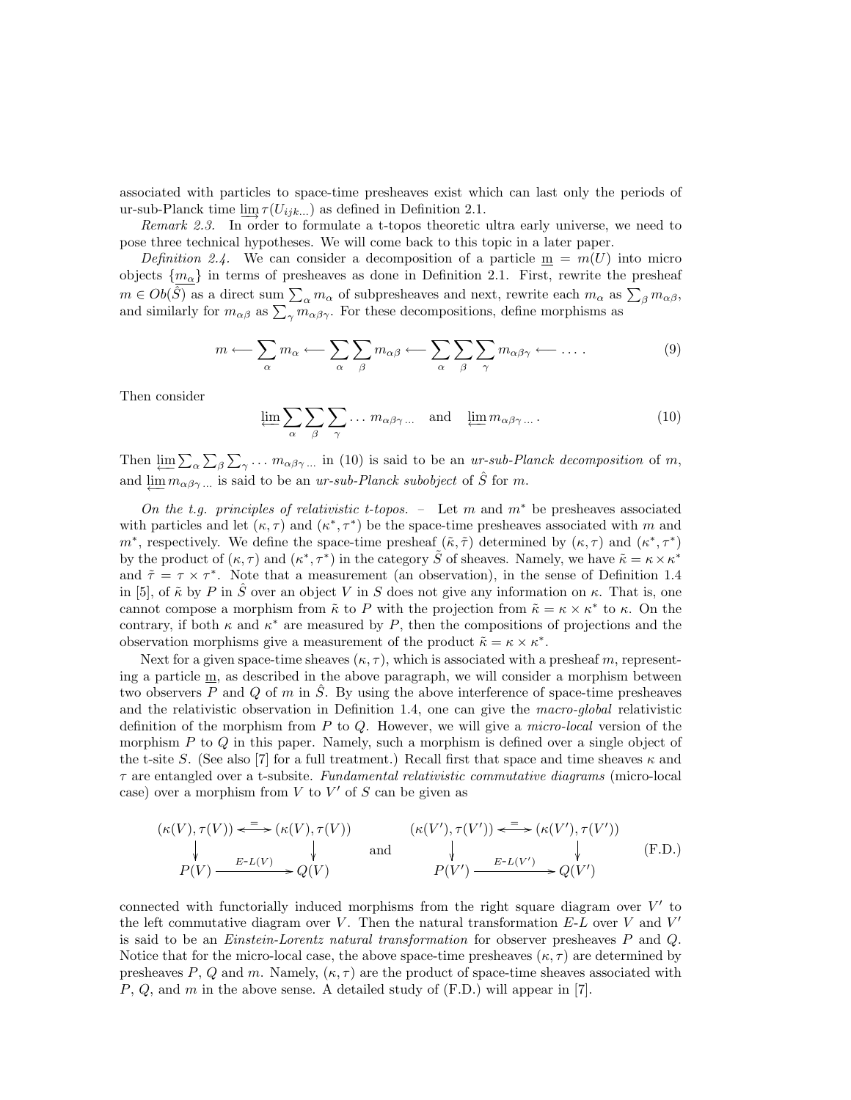associated with particles to space-time presheaves exist which can last only the periods of ur-sub-Planck time  $\lim_{\mathcal{T}} \tau(U_{ijk...})$  as defined in Definition 2.1.<br>*Remark 2.3.* In order to formulate a t-topos theoretic ultra early universe, we need to

pose three technical hypotheses. We will come back to this topic in a later paper.

 $m \in Ob(\hat{S})$  as a direct sum  $\sum_{\alpha} m_{\alpha}$  of subpresheaves and next, rewrite each  $m_{\alpha}$  as  $\sum_{\beta} m_{\alpha\beta}$ , and similarly for  $m_{\alpha\beta}$  as  $\sum_{\gamma} m_{\alpha\beta\gamma}$ . For these decompositions, define morphisms as Definition 2.4. We can consider a decomposition of a particle  $\underline{m} = m(U)$  into micro objects  $\{m_{\alpha}\}\$  in terms of presheaves as done in Definition 2.1. First, rewrite the presheaf

$$
m \longleftarrow \sum_{\alpha} m_{\alpha} \longleftarrow \sum_{\alpha} \sum_{\beta} m_{\alpha\beta} \longleftarrow \sum_{\alpha} \sum_{\beta} \sum_{\gamma} m_{\alpha\beta\gamma} \longleftarrow \dots \tag{9}
$$

Then consider

$$
\varprojlim_{\alpha} \sum_{\beta} \sum_{\beta} \sum_{\gamma} \dots m_{\alpha\beta\gamma} \dots \quad \text{and} \quad \varprojlim m_{\alpha\beta\gamma} \dots \tag{10}
$$

Then  $\varprojlim_{\alpha} \sum_{\alpha} \sum_{\beta} \sum_{\gamma} \ldots m_{\alpha\beta\gamma} \ldots$  in (10) is said to be an ur-sub-Planck decomposition of m, and  $\varprojlim_{\alpha\beta\gamma} m_{\alpha\beta\gamma} \ldots$  is said to be an ur-sub-Planck subobject of  $\hat{S}$  for m.

On the t.g. principles of relativistic t-topos. – Let m and  $m^*$  be presheaves associated with particles and let  $(\kappa, \tau)$  and  $(\kappa^*, \tau^*)$  be the space-time presheaves associated with m and  $m^*$ , respectively. We define the space-time presheaf  $(\tilde{\kappa}, \tilde{\tau})$  determined by  $(\kappa, \tau)$  and  $(\kappa^*, \tau^*)$ by the product of  $(\kappa, \tau)$  and  $(\kappa^*, \tau^*)$  in the category  $\tilde{S}$  of sheaves. Namely, we have  $\tilde{\kappa} = \kappa \times \kappa^*$ and  $\tilde{\tau} = \tau \times \tau^*$ . Note that a measurement (an observation), in the sense of Definition 1.4 in [5], of  $\tilde{\kappa}$  by P in  $\tilde{S}$  over an object V in S does not give any information on  $\kappa$ . That is, one<br>cannot compose a morphism from  $\tilde{\kappa}$  to P with the projection from  $\tilde{\kappa} = \kappa \times \kappa^*$  to  $\kappa$ . On the

Next for a given space-time sheaves  $(\kappa, \tau)$ , which is associated with a presheaf m, representing a particle m, as described in the above paragraph, we will consider a morphism between two observers  $P$  and  $Q$  of  $m$  in  $S$ . By using the above interference of space-time presheaves and the relativistic observation in Definition 1.4, one can give the macro-global relativistic definition of the morphism from  $P$  to  $Q$ . However, we will give a *micro-local* version of the morphism  $P$  to  $Q$  in this paper. Namely, such a morphism is defined over a single object of the t-site S. (See also [7] for a full treatment.) Recall first that space and time sheaves  $\kappa$  and  $\tau$  are entangled over a t-subsite. Fundamental relativistic commutative diagrams (micro-local case) over a morphism from  $V$  to  $V'$  of  $S$  can be given as

$$
(\kappa(V), \tau(V)) \xleftarrow{\equiv} (\kappa(V), \tau(V)) \qquad (\kappa(V'), \tau(V')) \xleftarrow{\equiv} (\kappa(V'), \tau(V'))
$$
\n
$$
\downarrow \qquad \qquad \downarrow \qquad \qquad \downarrow \qquad \qquad (\text{F.D.})
$$
\n
$$
P(V) \xrightarrow{E \cdot L(V)} Q(V) \qquad \qquad P(V') \xrightarrow{E \cdot L(V')} Q(V')
$$
\n(F.D.)

connected with functorially induced morphisms from the right square diagram over  $V'$  to the left commutative diagram over V. Then the natural transformation  $E-L$  over V and  $V'$ is said to be an *Einstein-Lorentz natural transformation* for observer presheaves  $P$  and  $Q$ . Notice that for the micro-local case, the above space-time presheaves  $(\kappa, \tau)$  are determined by presheaves P, Q and m. Namely,  $(\kappa, \tau)$  are the product of space-time sheaves associated with P, Q, and m in the above sense. <sup>A</sup> detailed study of (F.D.) will appear in [7].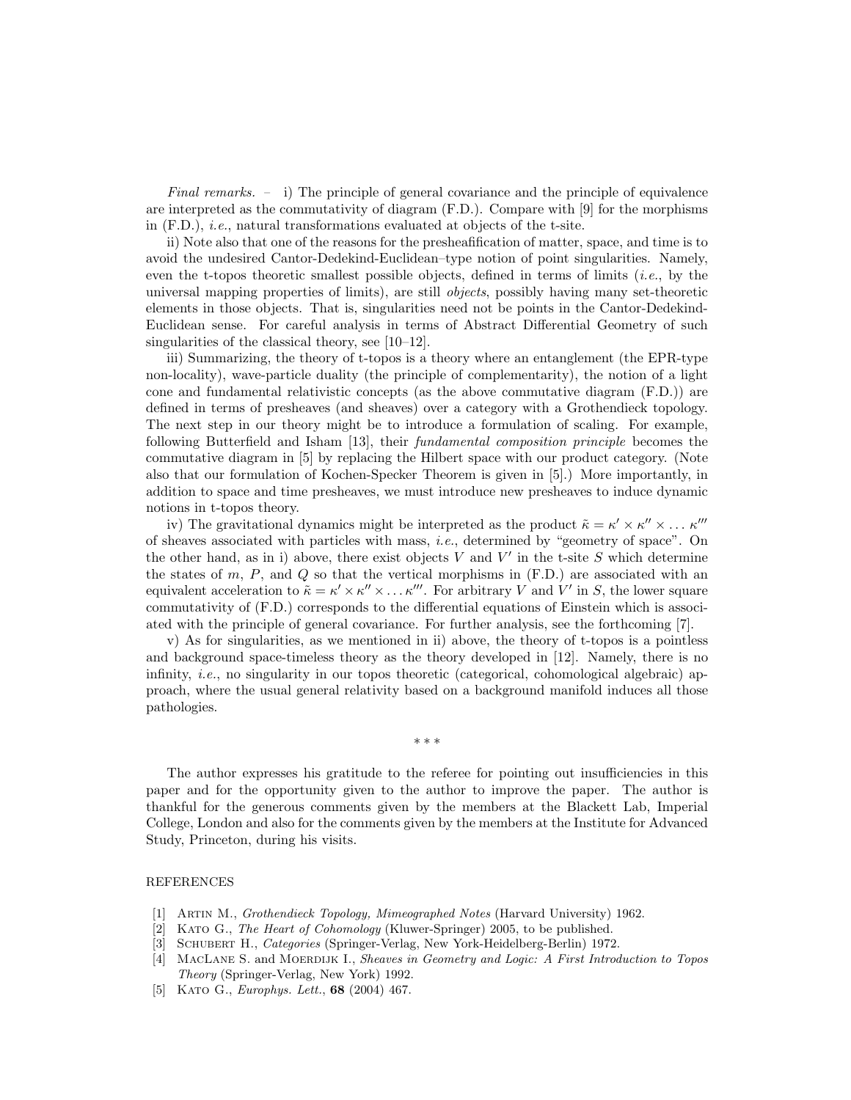Final remarks. – i) The principle of general covariance and the principle of equivalence are interpreted as the commutativity of diagram (F.D.). Compare with [9] for the morphisms in (F.D.), i.e., natural transformations evaluated at objects of the t-site.

ii) Note also that one of the reasons for the presheafification of matter, space, and time is to avoid the undesired Cantor-Dedekind-Euclidean–type notion of point singularities. Namely, even the t-topos theoretic smallest possible objects, defined in terms of limits  $(i.e.,$  by the universal mapping properties of limits), are still objects, possibly having many set-theoretic elements in those objects. That is, singularities need not be points in the Cantor-Dedekind-Euclidean sense. For careful analysis in terms of Abstract Differential Geometry of such singularities of the classical theory, see [10–12].

iii) Summarizing, the theory of t-topos is a theory where an entanglement (the EPR-type non-locality), wave-particle duality (the principle of complementarity), the notion of a light cone and fundamental relativistic concepts (as the above commutative diagram (F.D.)) are defined in terms of presheaves (and sheaves) over a category with a Grothendieck topology. The next step in our theory might be to introduce a formulation of scaling. For example, following Butterfield and Isham [13], their fundamental composition principle becomes the commutative diagram in [5] by replacing the Hilbert space with our product category. (Note also that our formulation of Kochen-Specker Theorem is given in [5].) More importantly, in addition to space and time presheaves, we must introduce new presheaves to induce dynamic notions in t-topos theory.

iv) The gravitational dynamics might be interpreted as the product  $\tilde{\kappa} = \kappa' \times \kappa'' \times \ldots \kappa'''$ of sheaves associated with particles with mass, i.e., determined by "geometry of space". On the other hand, as in i) above, there exist objects  $V$  and  $V'$  in the t-site  $S$  which determine the states of m,  $P$ , and  $Q$  so that the vertical morphisms in  $(F.D.)$  are associated with an equivalent acceleration to  $\tilde{\kappa} = \kappa' \times \kappa'' \times \ldots \kappa'''$ . For arbitrary V and V' in S, the lower square commutativity of (F.D.) corresponds to the differential equations of Einstein which is associated with the principle of general covariance. For further analysis, see the forthcoming [7].

v) As for singularities, as we mentioned in ii) above, the theory of t-topos is a pointless and background space-timeless theory as the theory developed in [12]. Namely, there is no infinity, *i.e.*, no singularity in our topos theoretic (categorical, cohomological algebraic) approach, where the usual general relativity based on a background manifold induces all those pathologies.

∗∗∗

The author expresses his gratitude to the referee for pointing out insufficiencies in this paper and for the opportunity given to the author to improve the paper. The author is thankful for the generous comments given by the members at the Blackett Lab, Imperial College, London and also for the comments given by the members at the Institute for Advanced Study, Princeton, during his visits.

## **REFERENCES**

- [1] Artin M., Grothendieck Topology, Mimeographed Notes (Harvard University) 1962.
- [2] KATO G., The Heart of Cohomology (Kluwer-Springer) 2005, to be published.
- [3] SCHUBERT H., *Categories* (Springer-Verlag, New York-Heidelberg-Berlin) 1972.
- [4] MACLANE S. and MOERDIJK I., Sheaves in Geometry and Logic: A First Introduction to Topos Theory (Springer-Verlag, New York) 1992.
- [5] Kato G., Europhys. Lett., **68** (2004) 467.